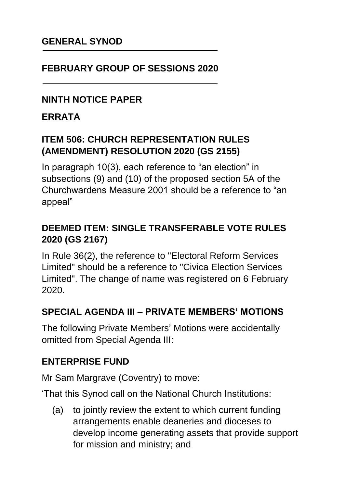### **GENERAL SYNOD**

### **FEBRUARY GROUP OF SESSIONS 2020**

### **NINTH NOTICE PAPER**

#### **ERRATA**

## **ITEM 506: CHURCH REPRESENTATION RULES (AMENDMENT) RESOLUTION 2020 (GS 2155)**

In paragraph 10(3), each reference to "an election" in subsections (9) and (10) of the proposed section 5A of the Churchwardens Measure 2001 should be a reference to "an appeal"

## **DEEMED ITEM: SINGLE TRANSFERABLE VOTE RULES 2020 (GS 2167)**

In Rule 36(2), the reference to "Electoral Reform Services Limited" should be a reference to "Civica Election Services Limited". The change of name was registered on 6 February 2020.

#### **SPECIAL AGENDA III – PRIVATE MEMBERS' MOTIONS**

The following Private Members' Motions were accidentally omitted from Special Agenda III:

#### **ENTERPRISE FUND**

Mr Sam Margrave (Coventry) to move:

'That this Synod call on the National Church Institutions:

(a) to jointly review the extent to which current funding arrangements enable deaneries and dioceses to develop income generating assets that provide support for mission and ministry; and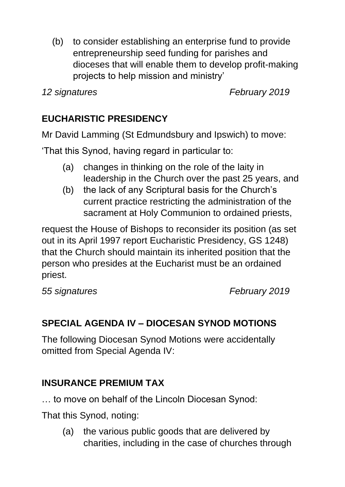(b) to consider establishing an enterprise fund to provide entrepreneurship seed funding for parishes and dioceses that will enable them to develop profit-making projects to help mission and ministry'

*12 signatures February 2019*

# **EUCHARISTIC PRESIDENCY**

Mr David Lamming (St Edmundsbury and Ipswich) to move:

'That this Synod, having regard in particular to:

- (a) changes in thinking on the role of the laity in leadership in the Church over the past 25 years, and
- (b) the lack of any Scriptural basis for the Church's current practice restricting the administration of the sacrament at Holy Communion to ordained priests,

request the House of Bishops to reconsider its position (as set out in its April 1997 report Eucharistic Presidency, GS 1248) that the Church should maintain its inherited position that the person who presides at the Eucharist must be an ordained priest.

*55 signatures February 2019*

# **SPECIAL AGENDA IV – DIOCESAN SYNOD MOTIONS**

The following Diocesan Synod Motions were accidentally omitted from Special Agenda IV:

# **INSURANCE PREMIUM TAX**

… to move on behalf of the Lincoln Diocesan Synod:

That this Synod, noting:

(a) the various public goods that are delivered by charities, including in the case of churches through